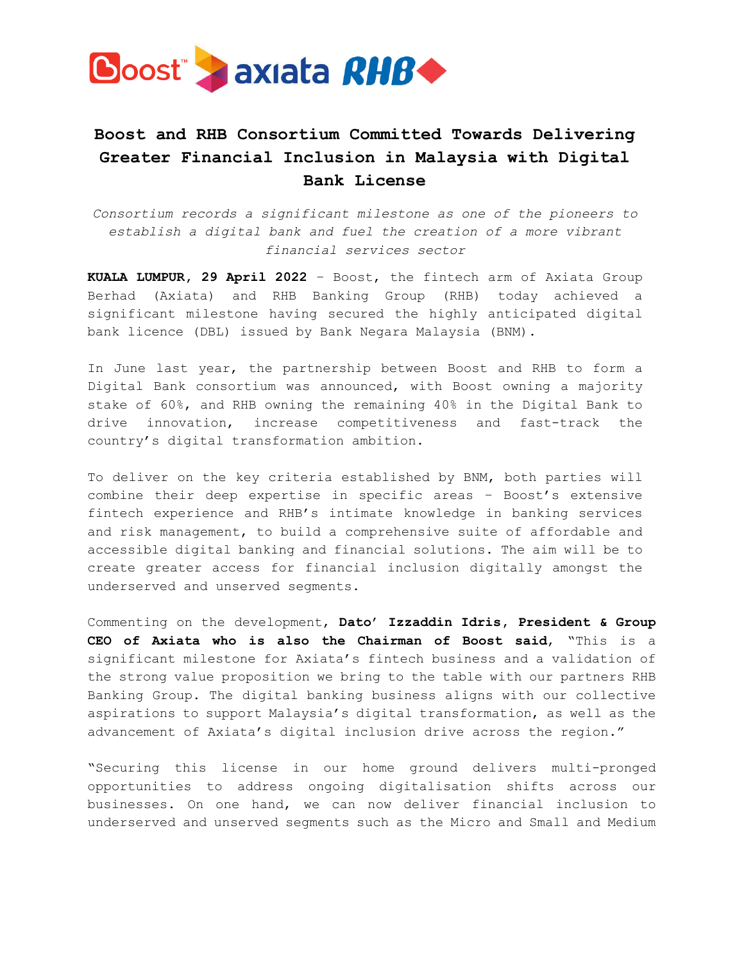

## **Boost and RHB Consortium Committed Towards Delivering Greater Financial Inclusion in Malaysia with Digital Bank License**

*Consortium records a significant milestone as one of the pioneers to establish a digital bank and fuel the creation of a more vibrant financial services sector*

**KUALA LUMPUR, 29 April 2022** – Boost, the fintech arm of Axiata Group Berhad (Axiata) and RHB Banking Group (RHB) today achieved a significant milestone having secured the highly anticipated digital bank licence (DBL) issued by Bank Negara Malaysia (BNM).

In June last year, the partnership between Boost and RHB to form a Digital Bank consortium was announced, with Boost owning a majority stake of 60%, and RHB owning the remaining 40% in the Digital Bank to drive innovation, increase competitiveness and fast-track the country's digital transformation ambition.

To deliver on the key criteria established by BNM, both parties will combine their deep expertise in specific areas – Boost's extensive fintech experience and RHB's intimate knowledge in banking services and risk management, to build a comprehensive suite of affordable and accessible digital banking and financial solutions. The aim will be to create greater access for financial inclusion digitally amongst the underserved and unserved segments.

Commenting on the development, **Dato' Izzaddin Idris, President & Group CEO of Axiata who is also the Chairman of Boost said**, "This is a significant milestone for Axiata's fintech business and a validation of the strong value proposition we bring to the table with our partners RHB Banking Group. The digital banking business aligns with our collective aspirations to support Malaysia's digital transformation, as well as the advancement of Axiata's digital inclusion drive across the region."

"Securing this license in our home ground delivers multi-pronged opportunities to address ongoing digitalisation shifts across our businesses. On one hand, we can now deliver financial inclusion to underserved and unserved segments such as the Micro and Small and Medium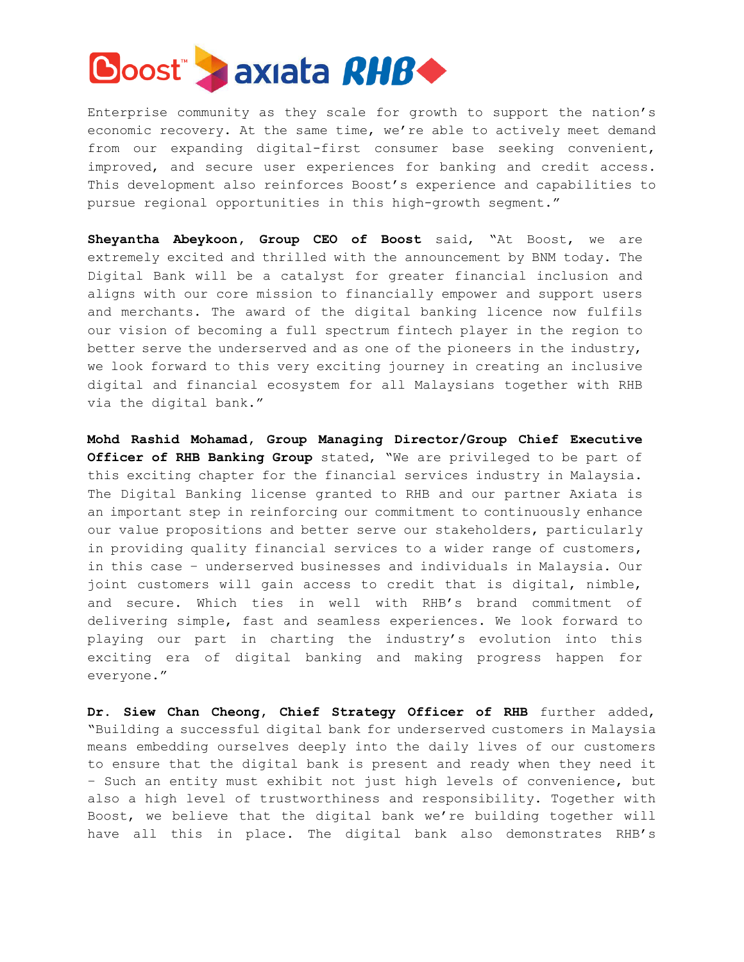

Enterprise community as they scale for growth to support the nation's economic recovery. At the same time, we're able to actively meet demand from our expanding digital-first consumer base seeking convenient, improved, and secure user experiences for banking and credit access. This development also reinforces Boost's experience and capabilities to pursue regional opportunities in this high-growth segment."

**Sheyantha Abeykoon, Group CEO of Boost** said, "At Boost, we are extremely excited and thrilled with the announcement by BNM today. The Digital Bank will be a catalyst for greater financial inclusion and aligns with our core mission to financially empower and support users and merchants. The award of the digital banking licence now fulfils our vision of becoming a full spectrum fintech player in the region to better serve the underserved and as one of the pioneers in the industry, we look forward to this very exciting journey in creating an inclusive digital and financial ecosystem for all Malaysians together with RHB via the digital bank."

**Mohd Rashid Mohamad, Group Managing Director/Group Chief Executive Officer of RHB Banking Group** stated, "We are privileged to be part of this exciting chapter for the financial services industry in Malaysia. The Digital Banking license granted to RHB and our partner Axiata is an important step in reinforcing our commitment to continuously enhance our value propositions and better serve our stakeholders, particularly in providing quality financial services to a wider range of customers, in this case – underserved businesses and individuals in Malaysia. Our joint customers will gain access to credit that is digital, nimble, and secure. Which ties in well with RHB's brand commitment of delivering simple, fast and seamless experiences. We look forward to playing our part in charting the industry's evolution into this exciting era of digital banking and making progress happen for everyone."

**Dr. Siew Chan Cheong, Chief Strategy Officer of RHB** further added, "Building a successful digital bank for underserved customers in Malaysia means embedding ourselves deeply into the daily lives of our customers to ensure that the digital bank is present and ready when they need it – Such an entity must exhibit not just high levels of convenience, but also a high level of trustworthiness and responsibility. Together with Boost, we believe that the digital bank we're building together will have all this in place. The digital bank also demonstrates RHB's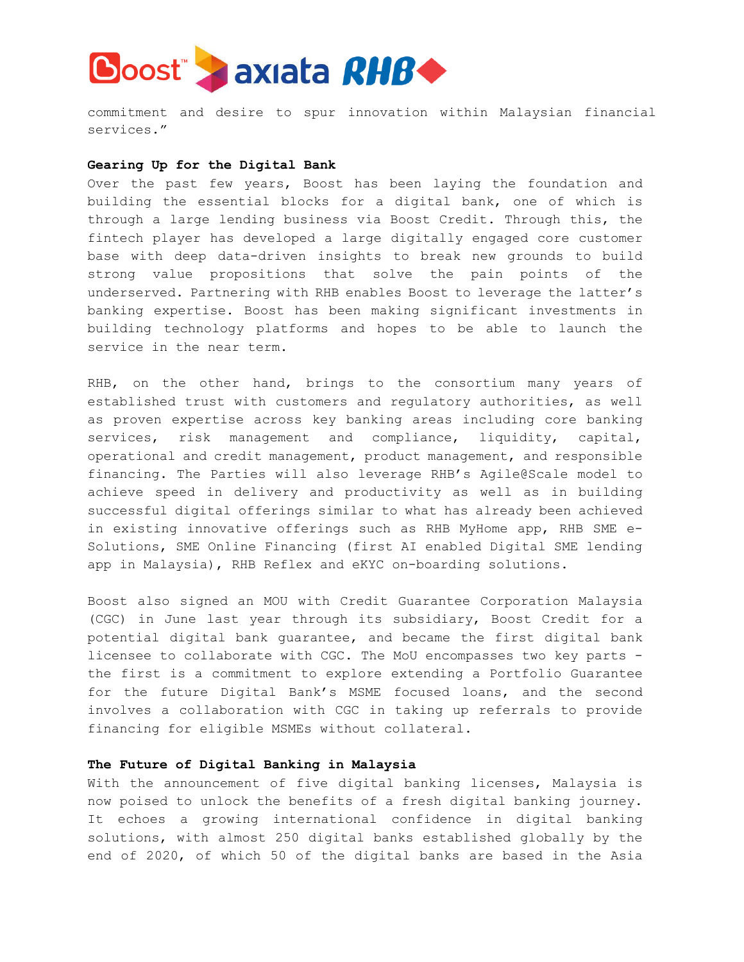

commitment and desire to spur innovation within Malaysian financial services."

## **Gearing Up for the Digital Bank**

Over the past few years, Boost has been laying the foundation and building the essential blocks for a digital bank, one of which is through a large lending business via Boost Credit. Through this, the fintech player has developed a large digitally engaged core customer base with deep data-driven insights to break new grounds to build strong value propositions that solve the pain points of the underserved. Partnering with RHB enables Boost to leverage the latter's banking expertise. Boost has been making significant investments in building technology platforms and hopes to be able to launch the service in the near term.

RHB, on the other hand, brings to the consortium many years of established trust with customers and regulatory authorities, as well as proven expertise across key banking areas including core banking services, risk management and compliance, liquidity, capital, operational and credit management, product management, and responsible financing. The Parties will also leverage RHB's Agile@Scale model to achieve speed in delivery and productivity as well as in building successful digital offerings similar to what has already been achieved in existing innovative offerings such as RHB MyHome app, RHB SME e-Solutions, SME Online Financing (first AI enabled Digital SME lending app in Malaysia), RHB Reflex and eKYC on-boarding solutions.

Boost also signed an MOU with Credit Guarantee Corporation Malaysia (CGC) in June last year through its subsidiary, Boost Credit for a potential digital bank guarantee, and became the first digital bank licensee to collaborate with CGC. The MoU encompasses two key parts the first is a commitment to explore extending a Portfolio Guarantee for the future Digital Bank's MSME focused loans, and the second involves a collaboration with CGC in taking up referrals to provide financing for eligible MSMEs without collateral.

## **The Future of Digital Banking in Malaysia**

With the announcement of five digital banking licenses, Malaysia is now poised to unlock the benefits of a fresh digital banking journey. It echoes a growing international confidence in digital banking solutions, with almost 250 digital banks established globally by the end of 2020, of which 50 of the digital banks are based in the Asia